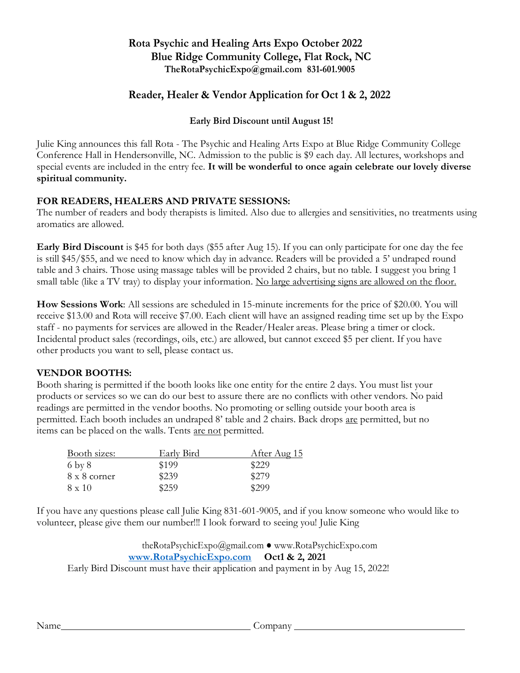# **Rota Psychic and Healing Arts Expo October 2022 Blue Ridge Community College, Flat Rock, NC TheRotaPsychicExpo@gmail.com 831-601.9005**

# **Reader, Healer & Vendor Application for Oct 1 & 2, 2022**

## **Early Bird Discount until August 15!**

Julie King announces this fall Rota - The Psychic and Healing Arts Expo at Blue Ridge Community College Conference Hall in Hendersonville, NC. Admission to the public is \$9 each day. All lectures, workshops and special events are included in the entry fee. **It will be wonderful to once again celebrate our lovely diverse spiritual community.**

### **FOR READERS, HEALERS AND PRIVATE SESSIONS:**

The number of readers and body therapists is limited. Also due to allergies and sensitivities, no treatments using aromatics are allowed.

**Early Bird Discount** is \$45 for both days (\$55 after Aug 15). If you can only participate for one day the fee is still \$45/\$55, and we need to know which day in advance. Readers will be provided a 5' undraped round table and 3 chairs. Those using massage tables will be provided 2 chairs, but no table. I suggest you bring 1 small table (like a TV tray) to display your information. No large advertising signs are allowed on the floor.

**How Sessions Work**: All sessions are scheduled in 15-minute increments for the price of \$20.00. You will receive \$13.00 and Rota will receive \$7.00. Each client will have an assigned reading time set up by the Expo staff - no payments for services are allowed in the Reader/Healer areas. Please bring a timer or clock. Incidental product sales (recordings, oils, etc.) are allowed, but cannot exceed \$5 per client. If you have other products you want to sell, please contact us.

### **VENDOR BOOTHS:**

Booth sharing is permitted if the booth looks like one entity for the entire 2 days. You must list your products or services so we can do our best to assure there are no conflicts with other vendors. No paid readings are permitted in the vendor booths. No promoting or selling outside your booth area is permitted. Each booth includes an undraped 8' table and 2 chairs. Back drops are permitted, but no items can be placed on the walls. Tents are not permitted.

| Booth sizes:        | Early Bird | After Aug 15 |
|---------------------|------------|--------------|
| $6\;\mathrm{by}\;8$ | \$199      | \$229        |
| 8 x 8 corner        | \$239      | \$279        |
| $8 \times 10$       | \$259      | \$299        |

If you have any questions please call Julie King 831-601-9005, and if you know someone who would like to volunteer, please give them our number!!! I look forward to seeing you! Julie King

theRotaPsychicExpo@gmail.com ● www.RotaPsychicExpo.com **[www.RotaPsychicExpo.com](http://www.rotapsychicexpo.com/) Oct1 & 2, 2021** Early Bird Discount must have their application and payment in by Aug 15, 2022!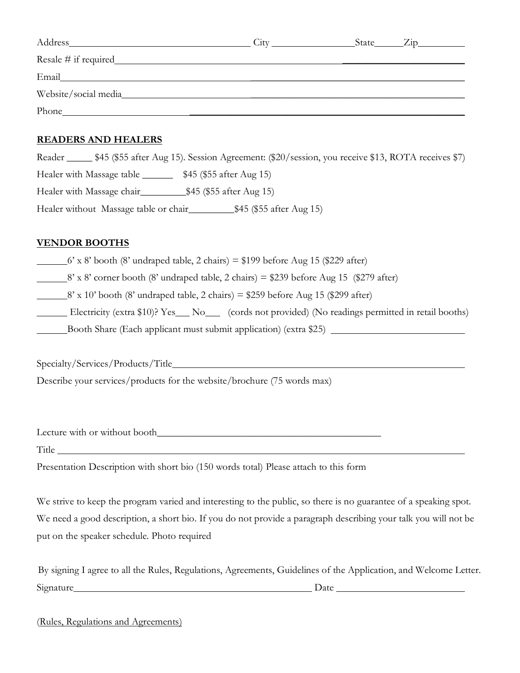| Address                                                                                                                       | $\Delta$ itv | State <sub>_________</sub> | $\angle$ ip |
|-------------------------------------------------------------------------------------------------------------------------------|--------------|----------------------------|-------------|
| $Resale \#$ if required $\qquad \qquad$                                                                                       |              |                            |             |
| Email<br><u> 1989 - John Stein, mars and de Britain and de Britain and de Britain and de Britain and de Britain and de Br</u> |              |                            |             |
| Website/social media                                                                                                          |              |                            |             |
| Phone                                                                                                                         |              |                            |             |

#### **READERS AND HEALERS**

Reader \_\_\_\_\_ \$45 (\$55 after Aug 15). Session Agreement: (\$20/session, you receive \$13, ROTA receives \$7) Healer with Massage table \_\_\_\_\_\_\_ \$45 (\$55 after Aug 15) Healer with Massage chair\_\_\_\_\_\_\_\_\_\$45 (\$55 after Aug 15) Healer without Massage table or chair\_\_\_\_\_\_\_\_\_\_\_\_\_\$45 (\$55 after Aug 15)

### **VENDOR BOOTHS**

- $6'$  x 8' booth (8' undraped table, 2 chairs) = \$199 before Aug 15 (\$229 after)
- $8'$  x  $8'$  corner booth (8' undraped table, 2 chairs) = \$239 before Aug 15 (\$279 after)
- $8'$  x 10' booth (8' undraped table, 2 chairs) = \$259 before Aug 15 (\$299 after)
- Electricity (extra \$10)? Yes No (cords not provided) (No readings permitted in retail booths)
- Booth Share (Each applicant must submit application) (extra \$25)

Specialty/Services/Products/Title

Describe your services/products for the website/brochure (75 words max)

Lecture with or without booth\_\_\_\_\_\_\_\_\_\_\_\_\_\_\_\_\_\_\_\_\_\_\_\_\_\_\_\_\_\_\_\_\_\_\_\_\_\_\_\_\_\_\_\_

Title

Presentation Description with short bio (150 words total) Please attach to this form

We strive to keep the program varied and interesting to the public, so there is no guarantee of a speaking spot. We need a good description, a short bio. If you do not provide a paragraph describing your talk you will not be put on the speaker schedule. Photo required

| By signing I agree to all the Rules, Regulations, Agreements, Guidelines of the Application, and Welcome Letter. |      |  |
|------------------------------------------------------------------------------------------------------------------|------|--|
| Signature                                                                                                        | Date |  |

(Rules, Regulations and Agreements)